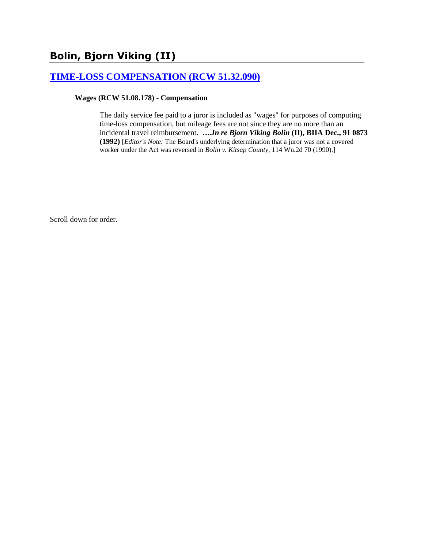# **Bolin, Bjorn Viking (II)**

# **[TIME-LOSS COMPENSATION \(RCW 51.32.090\)](http://www.biia.wa.gov/SDSubjectIndex.html#TIME_LOSS_COMPENSATION)**

#### **Wages (RCW 51.08.178) - Compensation**

The daily service fee paid to a juror is included as "wages" for purposes of computing time-loss compensation, but mileage fees are not since they are no more than an incidental travel reimbursement. **….***In re Bjorn Viking Bolin* **(II), BIIA Dec., 91 0873 (1992)** [*Editor's Note:* The Board's underlying determination that a juror was not a covered worker under the Act was reversed in *Bolin v. Kitsap County*, 114 Wn.2d 70 (1990).]

Scroll down for order.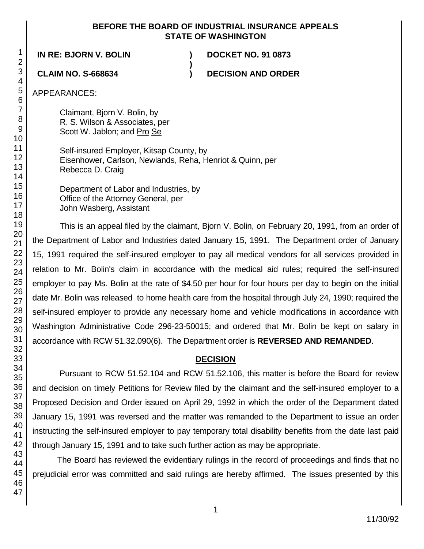## **BEFORE THE BOARD OF INDUSTRIAL INSURANCE APPEALS STATE OF WASHINGTON**

**)**

**IN RE: BJORN V. BOLIN ) DOCKET NO. 91 0873**

**CLAIM NO. S-668634 ) DECISION AND ORDER**

APPEARANCES:

Claimant, Bjorn V. Bolin, by R. S. Wilson & Associates, per Scott W. Jablon; and Pro Se

Self-insured Employer, Kitsap County, by Eisenhower, Carlson, Newlands, Reha, Henriot & Quinn, per Rebecca D. Craig

Department of Labor and Industries, by Office of the Attorney General, per John Wasberg, Assistant

This is an appeal filed by the claimant, Bjorn V. Bolin, on February 20, 1991, from an order of the Department of Labor and Industries dated January 15, 1991. The Department order of January 15, 1991 required the self-insured employer to pay all medical vendors for all services provided in relation to Mr. Bolin's claim in accordance with the medical aid rules; required the self-insured employer to pay Ms. Bolin at the rate of \$4.50 per hour for four hours per day to begin on the initial date Mr. Bolin was released to home health care from the hospital through July 24, 1990; required the self-insured employer to provide any necessary home and vehicle modifications in accordance with Washington Administrative Code 296-23-50015; and ordered that Mr. Bolin be kept on salary in accordance with RCW 51.32.090(6). The Department order is **REVERSED AND REMANDED**.

# **DECISION**

Pursuant to RCW 51.52.104 and RCW 51.52.106, this matter is before the Board for review and decision on timely Petitions for Review filed by the claimant and the self-insured employer to a Proposed Decision and Order issued on April 29, 1992 in which the order of the Department dated January 15, 1991 was reversed and the matter was remanded to the Department to issue an order instructing the self-insured employer to pay temporary total disability benefits from the date last paid through January 15, 1991 and to take such further action as may be appropriate.

The Board has reviewed the evidentiary rulings in the record of proceedings and finds that no prejudicial error was committed and said rulings are hereby affirmed. The issues presented by this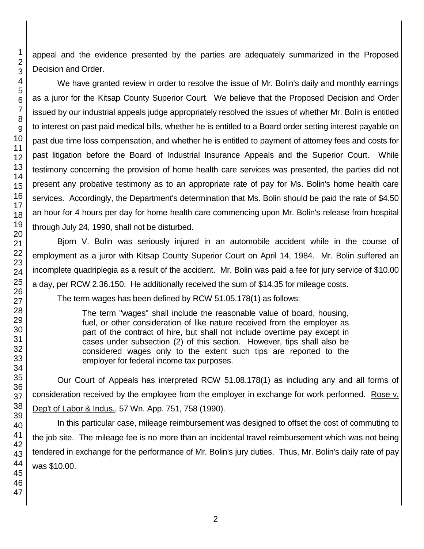appeal and the evidence presented by the parties are adequately summarized in the Proposed Decision and Order.

We have granted review in order to resolve the issue of Mr. Bolin's daily and monthly earnings as a juror for the Kitsap County Superior Court. We believe that the Proposed Decision and Order issued by our industrial appeals judge appropriately resolved the issues of whether Mr. Bolin is entitled to interest on past paid medical bills, whether he is entitled to a Board order setting interest payable on past due time loss compensation, and whether he is entitled to payment of attorney fees and costs for past litigation before the Board of Industrial Insurance Appeals and the Superior Court. While testimony concerning the provision of home health care services was presented, the parties did not present any probative testimony as to an appropriate rate of pay for Ms. Bolin's home health care services. Accordingly, the Department's determination that Ms. Bolin should be paid the rate of \$4.50 an hour for 4 hours per day for home health care commencing upon Mr. Bolin's release from hospital through July 24, 1990, shall not be disturbed.

Bjorn V. Bolin was seriously injured in an automobile accident while in the course of employment as a juror with Kitsap County Superior Court on April 14, 1984. Mr. Bolin suffered an incomplete quadriplegia as a result of the accident. Mr. Bolin was paid a fee for jury service of \$10.00 a day, per RCW 2.36.150. He additionally received the sum of \$14.35 for mileage costs. The term wages has been defined by RCW 51.05.178(1) as follows:

> The term "wages" shall include the reasonable value of board, housing, fuel, or other consideration of like nature received from the employer as part of the contract of hire, but shall not include overtime pay except in cases under subsection (2) of this section. However, tips shall also be considered wages only to the extent such tips are reported to the employer for federal income tax purposes.

Our Court of Appeals has interpreted RCW 51.08.178(1) as including any and all forms of consideration received by the employee from the employer in exchange for work performed. Rose v. Dep't of Labor & Indus., 57 Wn. App. 751, 758 (1990).

In this particular case, mileage reimbursement was designed to offset the cost of commuting to the job site. The mileage fee is no more than an incidental travel reimbursement which was not being tendered in exchange for the performance of Mr. Bolin's jury duties. Thus, Mr. Bolin's daily rate of pay was \$10.00.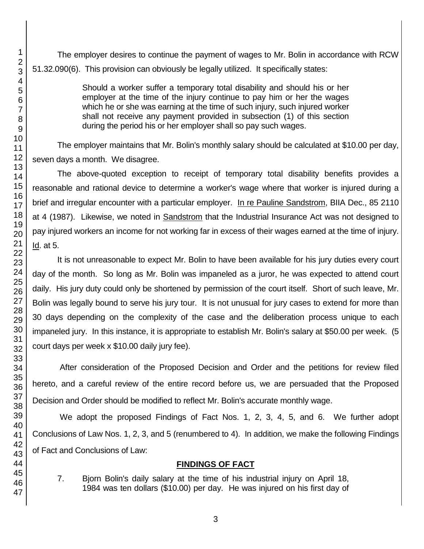The employer desires to continue the payment of wages to Mr. Bolin in accordance with RCW 51.32.090(6). This provision can obviously be legally utilized. It specifically states:

> Should a worker suffer a temporary total disability and should his or her employer at the time of the injury continue to pay him or her the wages which he or she was earning at the time of such injury, such injured worker shall not receive any payment provided in subsection (1) of this section during the period his or her employer shall so pay such wages.

The employer maintains that Mr. Bolin's monthly salary should be calculated at \$10.00 per day, seven days a month. We disagree.

The above-quoted exception to receipt of temporary total disability benefits provides a reasonable and rational device to determine a worker's wage where that worker is injured during a brief and irregular encounter with a particular employer. In re Pauline Sandstrom, BIIA Dec., 85 2110 at 4 (1987). Likewise, we noted in Sandstrom that the Industrial Insurance Act was not designed to pay injured workers an income for not working far in excess of their wages earned at the time of injury. Id. at 5.

It is not unreasonable to expect Mr. Bolin to have been available for his jury duties every court day of the month. So long as Mr. Bolin was impaneled as a juror, he was expected to attend court daily. His jury duty could only be shortened by permission of the court itself. Short of such leave, Mr. Bolin was legally bound to serve his jury tour. It is not unusual for jury cases to extend for more than 30 days depending on the complexity of the case and the deliberation process unique to each impaneled jury. In this instance, it is appropriate to establish Mr. Bolin's salary at \$50.00 per week. (5 court days per week x \$10.00 daily jury fee).

After consideration of the Proposed Decision and Order and the petitions for review filed hereto, and a careful review of the entire record before us, we are persuaded that the Proposed Decision and Order should be modified to reflect Mr. Bolin's accurate monthly wage.

We adopt the proposed Findings of Fact Nos. 1, 2, 3, 4, 5, and 6. We further adopt Conclusions of Law Nos. 1, 2, 3, and 5 (renumbered to 4). In addition, we make the following Findings of Fact and Conclusions of Law:

# **FINDINGS OF FACT**

7. Bjorn Bolin's daily salary at the time of his industrial injury on April 18, 1984 was ten dollars (\$10.00) per day. He was injured on his first day of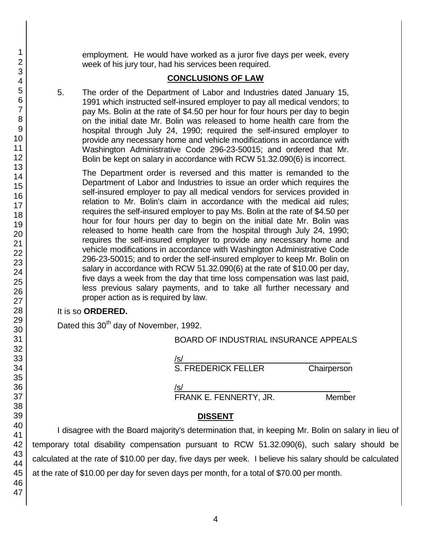employment. He would have worked as a juror five days per week, every week of his jury tour, had his services been required.

# **CONCLUSIONS OF LAW**

5. The order of the Department of Labor and Industries dated January 15, 1991 which instructed self-insured employer to pay all medical vendors; to pay Ms. Bolin at the rate of \$4.50 per hour for four hours per day to begin on the initial date Mr. Bolin was released to home health care from the hospital through July 24, 1990; required the self-insured employer to provide any necessary home and vehicle modifications in accordance with Washington Administrative Code 296-23-50015; and ordered that Mr. Bolin be kept on salary in accordance with RCW 51.32.090(6) is incorrect.

The Department order is reversed and this matter is remanded to the Department of Labor and Industries to issue an order which requires the self-insured employer to pay all medical vendors for services provided in relation to Mr. Bolin's claim in accordance with the medical aid rules; requires the self-insured employer to pay Ms. Bolin at the rate of \$4.50 per hour for four hours per day to begin on the initial date Mr. Bolin was released to home health care from the hospital through July 24, 1990; requires the self-insured employer to provide any necessary home and vehicle modifications in accordance with Washington Administrative Code 296-23-50015; and to order the self-insured employer to keep Mr. Bolin on salary in accordance with RCW 51.32.090(6) at the rate of \$10.00 per day, five days a week from the day that time loss compensation was last paid, less previous salary payments, and to take all further necessary and proper action as is required by law.

## It is so **ORDERED.**

Dated this 30<sup>th</sup> day of November, 1992.

|  | BOARD OF INDUSTRIAL INSURANCE APPEALS |  |
|--|---------------------------------------|--|
|  |                                       |  |

| $\sqrt{s}$                 |             |
|----------------------------|-------------|
| <b>S. FREDERICK FELLER</b> | Chairperson |

/s/  $\,$ FRANK E. FENNERTY, JR. Member

# **DISSENT**

I disagree with the Board majority's determination that, in keeping Mr. Bolin on salary in lieu of temporary total disability compensation pursuant to RCW 51.32.090(6), such salary should be calculated at the rate of \$10.00 per day, five days per week. I believe his salary should be calculated at the rate of \$10.00 per day for seven days per month, for a total of \$70.00 per month.